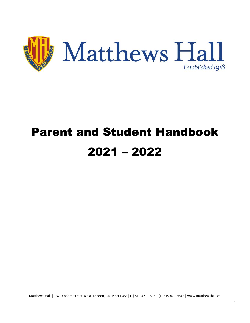

# Parent and Student Handbook 2021 – 2022

Matthews Hall | 1370 Oxford Street West, London, ON, N6H 1W2 | (T) 519.471.1506 | (F) 519.471.8647 | www.matthewshall.ca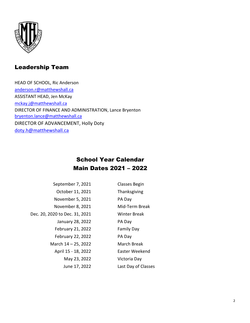

## Leadership Team

HEAD OF SCHOOL, Ric Anderson [anderson.r@matthewshall.ca](mailto:anderson.r@matthewshall.ca) ASSISTANT HEAD, Jen McKay [mckay.j@matthewshall.ca](mailto:mckay.j@matthewshall.ca) DIRECTOR OF FINANCE AND ADMINISTRATION, Lance Bryenton [bryenton.lance@matthewshall.ca](mailto:bryenton.lance@matthewshall.ca) DIRECTOR OF ADVANCEMENT, Holly Doty [doty.h@matthewshall.ca](mailto:doty.h@matthewshall.ca)

### School Year Calendar Main Dates 2021 – 2022

| September 7, 2021              | <b>Classes Begin</b> |
|--------------------------------|----------------------|
| October 11, 2021               | Thanksgiving         |
| November 5, 2021               | PA Day               |
| November 8, 2021               | Mid-Term Break       |
| Dec. 20, 2020 to Dec. 31, 2021 | Winter Break         |
| January 28, 2022               | PA Day               |
| February 21, 2022              | <b>Family Day</b>    |
| February 22, 2022              | PA Day               |
| March 14 - 25, 2022            | <b>March Break</b>   |
| April 15 - 18, 2022            | Easter Weekend       |
| May 23, 2022                   | Victoria Day         |
| June 17, 2022                  | Last Day of Classes  |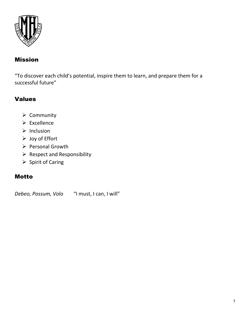

### Mission

"To discover each child's potential, inspire them to learn, and prepare them for a successful future"

### Values

- ➢ Community
- ➢ Excellence
- ➢ Inclusion
- ➢ Joy of Effort
- ➢ Personal Growth
- ➢ Respect and Responsibility
- ➢ Spirit of Caring

### Motto

*Debeo, Possum, Volo* "I must, I can, I will"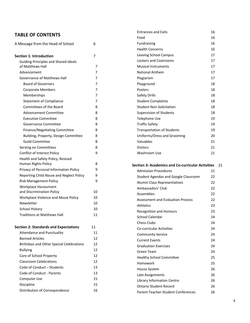### **TABLE OF CONTENTS**

|                                                 |    | Food                                                     | 16 |      |
|-------------------------------------------------|----|----------------------------------------------------------|----|------|
| A Message from the Head of School               | 6  | Fundraising                                              | 16 |      |
|                                                 |    | <b>Health Concerns</b>                                   | 16 |      |
| <b>Section 1: Introduction</b>                  | 7  | <b>Leaving School Campus</b>                             | 17 |      |
| <b>Guiding Principles and Shared Ideals</b>     |    | Lockers and Coatrooms                                    | 17 |      |
| of Matthews Hall                                | 7  | <b>Musical Instruments</b>                               | 17 |      |
| Advancement                                     | 7  | <b>National Anthem</b>                                   | 17 |      |
| Governance of Matthews Hall                     | 7  | Plagiarism                                               | 17 |      |
| <b>Board of Governors</b>                       | 7  | Playground                                               | 18 |      |
| Corporate Members                               | 7  | Posters                                                  | 18 |      |
| Memberships                                     | 7  | Safety Drills                                            | 18 |      |
| <b>Statement of Compliance</b>                  | 7  | <b>Student Complaints</b>                                | 18 |      |
| Committees of the Board                         | 8  | <b>Student Non-Solicitation</b>                          | 18 |      |
| <b>Advancement Committee</b>                    | 8  | Supervision of Students                                  | 18 |      |
| <b>Executive Committee</b>                      | 8  | Telephone Use                                            | 19 |      |
| Governance Committee                            | 8  | <b>Traffic Safety</b>                                    | 19 |      |
| Finance/Negotiating Committee                   | 8  | <b>Transportation of Students</b>                        | 19 |      |
| Building, Property, Design Committee            | 8  | Uniforms/Dress and Grooming                              | 20 |      |
| <b>Guild Committee</b>                          | 8  | Valuables                                                | 21 |      |
| Serving on Committees                           | 8  | <b>Visitors</b>                                          | 21 |      |
| Conflict of Interest Policy                     | 9  | Washroom Use                                             | 21 |      |
| Health and Safety Policy, Revised               |    |                                                          |    |      |
| Human Rights Policy                             | 8  | <b>Section 3: Academics and Co-curricular Activities</b> |    | - 21 |
| Privacy of Personal Information Policy          | 9  | <b>Admission Procedures</b>                              | 21 |      |
| Reporting Child Abuse and Neglect Policy        | 9  | Student Agendas and Google Classroom                     | 22 |      |
| <b>Risk Management Policy</b>                   | 9  | Alumni Class Representatives                             | 22 |      |
| Workplace Harassment                            |    | Ambassadors' Club                                        | 22 |      |
| and Discrimination Policy                       | 10 | Assemblies                                               | 22 |      |
| Workplace Violence and Abuse Policy             | 10 | <b>Assessment and Evaluation Process</b>                 | 22 |      |
| Newsletter                                      | 10 | <b>Athletics</b>                                         | 23 |      |
| <b>School History</b>                           | 10 | <b>Recognition and Honours</b>                           | 23 |      |
| <b>Traditions at Matthews Hall</b>              | 11 | School Calendar                                          | 24 |      |
|                                                 |    | <b>Chess Clubs</b>                                       | 24 |      |
| <b>Section 2: Standards and Expectations</b>    | 11 | Co-curricular Activities                                 | 24 |      |
| <b>Attendance and Punctuality</b>               | 11 | <b>Community Service</b>                                 | 24 |      |
| <b>Banned Articles</b>                          | 12 | <b>Current Events</b>                                    | 24 |      |
| <b>Birthdays and Other Special Celebrations</b> | 12 | <b>Graduation Exercises</b>                              | 24 |      |
| <b>Bullying</b>                                 | 12 | <b>Green Team</b>                                        | 24 |      |
| Care of School Property                         | 12 | <b>Healthy School Committee</b>                          | 25 |      |
| <b>Classroom Celebrations</b>                   | 12 | Homework                                                 | 25 |      |
| Code of Conduct - Students                      | 13 | House System                                             | 26 |      |
| Code of Conduct - Parents                       | 13 | Late Assignments                                         | 26 |      |
| Computer Use                                    | 15 | <b>Library Information Centre</b>                        | 26 |      |
| Discipline                                      | 15 | <b>Ontario Student Record</b>                            | 26 |      |
| Distribution of Correspondence                  | 16 | Parent-Teacher-Student Conferences                       | 26 |      |
|                                                 |    |                                                          |    |      |

Entrances and Exits 16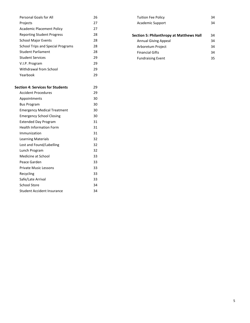| Personal Goals for All            | 26 |
|-----------------------------------|----|
| Projects                          | 27 |
| Academic Placement Policy         | 27 |
| Reporting Student Progress        | 28 |
| <b>School Major Events</b>        | 28 |
| School Trips and Special Programs | 28 |
| <b>Student Parliament</b>         | 28 |
| <b>Student Services</b>           | 29 |
| V.I.P. Program                    | 29 |
| Withdrawal from School            | 29 |
| Yearbook                          | 29 |
|                                   |    |

### **Section 4: Services for Students** 29

| <b>Accident Procedures</b>         | 29 |
|------------------------------------|----|
| Appointments                       | 30 |
| <b>Bus Program</b>                 | 30 |
| <b>Emergency Medical Treatment</b> | 30 |
| <b>Emergency School Closing</b>    | 30 |
| <b>Extended Day Program</b>        | 31 |
| <b>Health Information Form</b>     | 31 |
| Immunization                       | 31 |
| <b>Learning Materials</b>          | 32 |
| Lost and Found/Labelling           | 32 |
| Lunch Program                      | 32 |
| Medicine at School                 | 33 |
| Peace Garden                       | 33 |
| Private Music Lessons              | 33 |
| Recycling                          | 33 |
| Safe/Late Arrival                  | 33 |
| School Store                       | 34 |
| Student Accident Insurance         | 34 |

| <b>Tuition Fee Policy</b> | 34 |
|---------------------------|----|
| Academic Support          | 34 |
|                           |    |

| <b>Section 5: Philanthropy at Matthews Hall</b> | 34 |
|-------------------------------------------------|----|
| Annual Giving Appeal                            | 34 |
| Arboretum Project                               | 34 |
| <b>Financial Gifts</b>                          | 34 |
| <b>Fundraising Event</b>                        | 35 |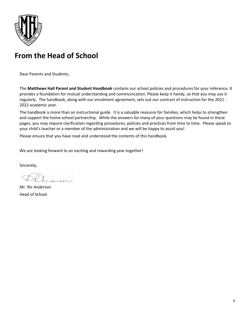

## **From the Head of School**

Dear Parents and Students,

The **Matthews Hall Parent and Student Handbook** contains our school policies and procedures for your reference. It provides a foundation for mutual understanding and communication. Please keep it handy, so that you may use it regularly. The handbook, along with our enrolment agreement, sets out our contract of instruction for the 2021 - 2022 academic year.

The handbook is more than an instructional guide. It is a valuable resource for families, which helps to strengthen and support the home-school partnership. While the answers for many of your questions may be found in these pages, you may require clarification regarding procedures, policies and practices from time to time. Please speak to your child's teacher or a member of the administration and we will be happy to assist you!

Please ensure that you have read and understood the contents of this handbook.

We are looking forward to an exciting and rewarding year together!

Sincerely,

Lesson/

Mr. Ric Anderson Head of School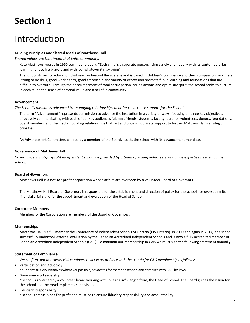## **Section 1**

## Introduction

### **Guiding Principles and Shared Ideals of Matthews Hall**

*Shared values are the thread that knits community.*

Kate Matthews' words in 1950 continue to apply: "Each child is a separate person, living sanely and happily with its contemporaries, learning to face life bravely and with joy, whatever it may bring".

The school strives for education that reaches beyond the average and is based in children's confidence and their compassion for others. Strong basic skills, good work habits, good citizenship and variety of expression promote fun in learning and foundations that are difficult to overturn. Through the encouragement of total participation, caring actions and optimistic spirit, the school seeks to nurture in each student a sense of personal value and a belief in community.

### **Advancement**

*The School's mission is advanced by managing relationships in order to increase support for the School.*

The term "Advancement" represents our mission to advance the institution in a variety of ways, focusing on three key objectives: effectively communicating with each of our key audiences (alumni, friends, students, faculty, parents, volunteers, donors, foundations, board members and the media), building relationships that last and obtaining private support to further Matthew Hall's strategic priorities.

An Advancement Committee, chaired by a member of the Board, assists the school with its advancement mandate.

### **Governance of Matthews Hall**

*Governance in not-for-profit independent schools is provided by a team of willing volunteers who have expertise needed by the school.*

### **Board of Governors**

Matthews Hall is a not-for-profit corporation whose affairs are overseen by a volunteer Board of Governors.

The Matthews Hall Board of Governors is responsible for the establishment and direction of policy for the school, for overseeing its financial affairs and for the appointment and evaluation of the Head of School.

### **Corporate Members**

Members of the Corporation are members of the Board of Governors.

### **Memberships**

Matthews Hall is a full member the Conference of Independent Schools of Ontario (CIS Ontario). In 2009 and again in 2017, the school successfully undertook external evaluation by the Canadian Accredited Independent Schools and is now a fully accredited member of Canadian Accredited Independent Schools (CAIS). To maintain our membership in CAIS we must sign the following statement annually:

### **Statement of Compliance**

*We confirm that Matthews Hall continues to act in accordance with the criteria for CAIS membership as follows:*

• Participation and Advocacy

~ supports all CAIS initiatives whenever possible, advocates for member schools and complies with CAIS by-laws.

- Governance & Leadership ~ school is governed by a volunteer board working with, but at arm's length from, the Head of School. The Board guides the vision for the school and the Head implements the vision.
- Fiduciary Responsibility

~ school's status is not-for-profit and must be to ensure fiduciary responsibility and accountability.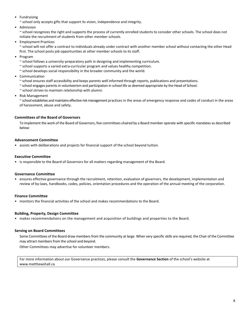• Fundraising

~ school only accepts gifts that support its vision, independence and integrity.

• Admission

~ school recognizes the right and supports the process of currently enrolled students to consider other schools. The school does not initiate the recruitment of students from other member schools.

• Employment Practices

~ school will not offer a contract to individuals already under contract with another member school without contacting the other Head first. The school posts job opportunities at other member schools to its staff.

- Program
	- ~ school follows a university-preparatory path in designing and implementing curriculum.
	- ~ school supports a varied extra-curricular program and values healthy competition.
	- $\sim$  school develops social responsibility in the broader community and the world.
- Communication
	- ~ school ensures staff accessibility and keeps parents well informed through reports, publications and presentations.
	- ~ school engages parents in volunteerism and participation in school life as deemed appropriate by the Head of School.
	- ~ school strives to maintain relationship with alumni.
- Risk Management

~ school establishes and maintains effective risk management practices in the areas of emergency response and codes of conduct in the areas of harassment, abuse and safety.

### **Committees of the Board of Governors**

To implement the work of the Board of Governors, five committees chaired by a Board member operate with specific mandates as described below:

### **Advancement Committee**

• assists with deliberations and projects for financial support of the school beyond tuition.

### **Executive Committee**

• is responsible to the Board of Governors for all matters regarding management of the Board.

### **Governance Committee**

• ensures effective governance through the recruitment, retention, evaluation of governors, the development, implementation and review of by-laws, handbooks, codes, policies, orientation procedures and the operation of the annual meeting of the corporation.

### **Finance Committee**

• monitors the financial activities of the school and makes recommendations to the Board.

### **Building, Property, Design Committee**

• makes recommendations on the management and acquisition of buildings and properties to the Board.

### **Serving on Board Committees**

Some Committees of the Board draw members from the community at large. When very specific skills are required, the Chair of the Committee may attract members from the school and beyond.

Other Committees may advertise for volunteer members.

For more information about our Governance practices, please consult the **Governance Section** of the school's website at www.matthewshall.ca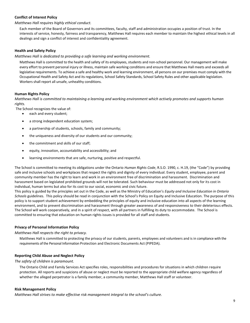### **Conflict of Interest Policy**

### *Matthews Hall requires highly ethical conduct.*

Each member of the Board of Governors and its committees, faculty, staff and administration occupies a position of trust. In the interests of service, honesty, fairness and transparency, Matthews Hall requires each member to maintain the highest ethical levels in all dealings and sign a conflict of interest and confidentiality agreement.

### **Health and Safety Policy**

### *Matthews Hall is dedicated to providing a safe learning and working environment.*

Matthews Hall is committed to the health and safety of its employees, students and non-school personnel. Our management will make every effort to prevent personal injury or illness, maintain safe working conditions and ensure that Matthews Hall meets and exceeds all legislative requirements. To achieve a safe and healthy work and learning environment, all persons on our premises must comply with the Occupational Health and Safety Act and its regulations, School Safety Standards, School Safety Rules and other applicable legislation. Workers shall report all unsafe, unhealthy conditions.

### **Human Rights Policy**

*Matthews Hall is committed to maintaining a learning and working environment which actively promotes and supports human rights.*

The School recognizes the value of:

- each and every student;
- a strong independent education system;
- a partnership of students, schools, family and community;
- the uniqueness and diversity of our students and our community;
- the commitment and skills of our staff;
- equity, innovation, accountability and accessibility; and
- learning environments that are safe, nurturing, positive and respectful.

The School is committed to meeting its obligations under the Ontario *Human Rights Code*, R.S.O. 1990, c. H.19, (the "Code") by providing safe and inclusive schools and workplaces that respect the rights and dignity of every individual. Every student, employee, parent and community member has the right to learn and work in an environment free of discrimination and harassment. Discrimination and harassment based on legislated prohibited grounds will not be tolerated. Such behaviour must be addressed not only for its cost in individual, human terms but also for its cost to our social, economic and civic future.

This policy is guided by the principles set out in the Code, as well as the Ministry of Education's *Equity and Inclusive Education in Ontario Schools* guidelines. This policy should be read in conjunction with the School's Policy on Equity and Inclusive Education. The purpose of this policy is to support student achievement by embedding the principles of equity and inclusive education into all aspects of the learning environment, and to prevent discrimination and harassment through greater awareness of and responsiveness to their deleterious effects. The School will work cooperatively, and in a spirit of respect, with all partners in fulfilling its duty to accommodate. The School is committed to ensuring that education on human rights issues is provided for all staff and students.

### **Privacy of Personal Information Policy**

### *Matthews Hall respects the right to privacy.*

Matthews Hall is committed to protecting the privacy of our students, parents, employees and volunteers and is in compliance with the requirements of the Personal Information Protection and Electronic Documents Act (PIPEDA).

### **Reporting Child Abuse and Neglect Policy**

*The safety of children is paramount.*

The Ontario Child and Family Services Act specifies roles, responsibilities and procedures for situations in which children require protection. All reports and suspicions of abuse or neglect must be reported to the appropriate child welfare agency regardless of whether the alleged perpetrator is a family member, a community member, Matthews Hall staff or volunteer.

### **Risk Management Policy**

*Matthews Hall strives to make effective risk management integral to the school's culture.*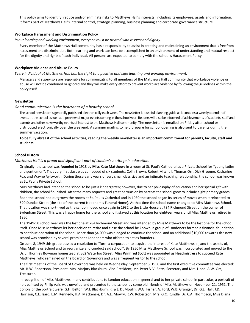This policy aims to identify, reduce and/or eliminate risks to Matthews Hall's interests, including its employees, assets and information. It forms part of Matthews Hall's internal control, strategic planning, business planning and corporate governance structure.

### **Workplace Harassment and Discrimination Policy**

*In our learning and working environment, everyone must be treated with respect and dignity.*

Every member of the Matthews Hall community has a responsibility to assist in creating and maintaining an environment that is free from harassment and discrimination. Both learning and work can best be accomplished in an environment of understanding and mutual respect for the dignity and rights of each individual. All persons are expected to comply with the school's Harassment Policy.

### **Workplace Violence and Abuse Policy**

*Every individual at Matthews Hall has the right to a positive and safe learning and working environment.*

Managers and supervisors are responsible for communicating to all members of the Matthews Hall community that workplace violence or abuse will not be condoned or ignored and they will make every effort to prevent workplace violence by following the guidelines within the policy itself.

### **Newsletter**

*Good communication is the heartbeat of a healthy school.*

The school newsletter is generally published electronically each week. The newsletter is a useful planning guide as it contains a weekly calendar of events at the school as well as a preview of major events coming in the school year. Readers will also be informed of achievements of students, staff and parents and other newsworthy events of interest to the Matthews Hall community. The newsletter is emailed on Friday after school or distributed electronically over the weekend. A summer mailing to help prepare for school opening is also sent to parents during the summer vacation.

**To be fully abreast of the school activities, reading the weekly newsletter is an important commitment for parents, faculty, staff and students.**

### **School History**

*Matthews Hall is a proud and significant part of London's heritage in education.*

Originally, the school was **founded** in 1918 by **Miss Kate Matthews** in a room at St. Paul's Cathedral as a Private School for "young ladies and gentlemen". That very first class was composed of six students: Colin Brown, Robert Mitchell, Thomas Orr, Dick Groome, Katharine Fox, and Wayne Aylsworth. During those early years of very small class size and an intimate teaching relationship, the school was known as St. Paul's Private School.

Miss Matthews had intended the school to be just a kindergarten; however, due to her philosophy of education and her special gift with children, the school flourished. After the many requests and great persuasion by parents the school grew to include eight primary grades.

Soon the school had outgrown the rooms at St. Paul's Cathedral and in 1930 the school began its series of moves when it relocated to 520 Dundas Street (the site of the current Needham's Funeral Home). At that time the school name changed to Miss Matthews School. That location was short-lived as the school moved once again in 1932 to the Little House at 784 Richmond Street on the corner of Sydenham Street. This was a happy home for the school and it stayed at this location for eighteen years until Miss Matthews retired in 1950.

The 1949-50 school year was the last one at 784 Richmond Street and was intended by Miss Matthews to be the last one for the school itself. Once Miss Matthews let her decision to retire and close the school be known, a group of Londoners formed a financial foundation to continue operation of the school. More than \$4,000 was pledged to continue the school and an additional \$10,000 towards the new school was promised by several prominent Londoners who offered to act as founders.

On June 8, 1949 this group passed a resolution to "form a corporation to acquire the interest of Kate Matthews in, and the assets of, Miss Matthews School and to reorganize and conduct said school". By 1950 Miss Matthews School was incorporated and moved to the Dr. J. Thornley Bowman homestead at 562 Waterloo Street. **Miss Winifred Scott** was appointed as **Headmistress** to succeed Kate Matthews, who remained on the Board of Governors and was a frequent visitor to the school.

The first meeting of the Board of Governors was held on Wednesday, September 6, 1950 and the first executive committee was elected: Mr. R.W. Robertson, President, Mrs. Marjory Blackburn, Vice-President, Mr. Peter V.V. Betts, Secretary and Mrs. Lionel A.W. Orr, Treasurer.

In recognition of Miss Matthews' many contributions to London education in general and to her private school in particular, a portrait of her, painted by Philip Aziz, was unveiled and presented to the school by some old friends of Miss Matthews on November 21, 1951. The donors of the portrait were: G.H. Belton, W.J. Blackburn, R. & J. DuMoulin, W.G. Fisher, A. Ford, W.B. Granger, Dr. G.E. Hall, J.D. Harrison, C.E. Isard, E.M. Kennedy, H.A. Mackenzie, Dr. A.E. Mowry, R.W. Robertson, Mrs. G.C. Rundle, Dr. C.A. Thompson, Miss Diana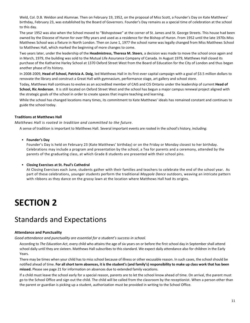Weld, Col. D.B. Weldon and Alumnae. Then on February 19, 1952, on the proposal of Miss Scott, a Founder's Day on Kate Matthews' birthday, February 23, was established by the Board of Governors. Founder's Day remains as a special time of celebration at the school to this day.

The year 1952 was also when the School moved to "Bishopstowe" at the corner of St. James and St. George Streets. This house had been owned by the Diocese of Huron for over fifty years and used as a residence for the Bishop of Huron. From 1952 until the late 1970s Miss Matthews School was a fixture in North London. Then on June 1, 1977 the school name was legally changed from Miss Matthews School to Matthews Hall, which marked the beginning of more changes to come.

Two years later, under the leadership of the **Headmistress, Theresa M. Steers**, a decision was made to move the school once again and in March, 1979, the building was sold to the Mutual Life Assurance Company of Canada. In August 1979, Matthews Hall closed its purchase of the Katharine Harley School at 1370 Oxford Street West from the Board of Education for the City of London and thus began another phase of its history.

In 2008-2009, **Head of School, Patricia A. Doig**, led Matthews Hall in its first-ever capital campaign with a goal of \$3.5 million dollars to renovate the library and construct a Great Hall with gymnasium, performance stage, art gallery and school store.

Today, Matthews Hall continues to evolve as an accredited member of CAIS and CIS Ontario under the leadership of current **Head of School, Ric Anderson**. It is still located on Oxford Street West and the school has begun a major campus renewal project aligned with the strategic goals of the school in order to create spaces that inspire teaching and learning.

While the school has changed locations many times, its commitment to Kate Matthews' ideals has remained constant and continues to guide the school today.

### **Traditions at Matthews Hall**

*Matthews Hall is rooted in tradition and committed to the future.*

A sense of tradition is important to Matthews Hall. Several important events are rooted in the school's history, including:

• **Founder's Day**

Founder's Day is held on February 23 (Kate Matthews' birthday) or on the Friday or Monday closest to her birthday. Celebrations may include a program and presentation by the school, a Tea for parents and a ceremony, attended by the parents of the graduating class, at which Grade 8 students are presented with their school pins.

### • **Closing Exercises at St. Paul's Cathedral**

At Closing Exercises each June, students gather with their families and teachers to celebrate the end of the school year. As part of these celebrations, younger students perform the traditional *Maypole Dance* outdoors, weaving an intricate pattern with ribbons as they dance on the grassy lawn at the location where Matthews Hall had its origins.

## **SECTION 2**

## Standards and Expectations

### **Attendance and Punctuality**

*Good attendance and punctuality are essential for a student's success in school.* 

According to *The Education Act*, every child who attains the age of six years on or before the first school day in September shall attend school daily until they are sixteen. Matthews Hall subscribes to this standard. We expect daily attendance also for children in the Early Years.

There may be times when your child has to miss school because of illness or other excusable reason. In such cases, the school should be notified ahead of time. **For all short term absences, it is the student's (and family's) responsibility to make up class work that has been missed.** Please see page 21 for information on absences due to extended family vacations.

If a child must leave the school early for a special reason, parents are to let the school know ahead of time. On arrival, the parent must go to the School Office and sign out the child. The child will be called from the classroom by the receptionist. When a person other than the parent or guardian is picking up a student, authorization must be provided in writing to the School Office.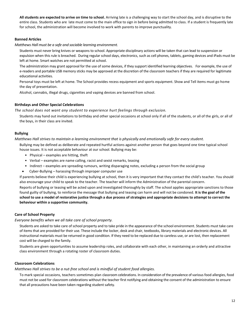**All students are expected to arrive on time to school.** Arriving late is a challenging way to start the school day, and is disruptive to the entire class. Students who are late must come to the main office to sign in before being admitted to class. If a student is frequently late for school, the administration will become involved to work with parents to improve punctuality.

### **Banned Articles**

### *Matthews Hall must be a safe and sociable learning environment.*

Students must never bring knives or weapons to school. Appropriate disciplinary actions will be taken that can lead to suspension or expulsion when this rule is breached. During regular school days, electronics, such as cell phones, tablets, gaming devices and iPads must be left at home. Smart watches are not permitted at school.

The administration may grant approval for the use of some devices, if they support identified learning objectives. For example, the use of e-readers and portable USB memory sticks may be approved at the discretion of the classroom teachers if they are required for legitimate educational activities.

Personal toys must be left at home. The School provides recess equipment and sports equipment. Show and Tell items must go home the day of presentation.

Alcohol, cannabis, illegal drugs, cigarettes and vaping devices are banned from school.

### **Birthdays and Other Special Celebrations**

*The school does not want any student to experience hurt feelings through exclusion.*

Students may hand out invitations to birthday and other special occasions at school only if all of the students, or all of the girls, or all of the boys, in their class are invited.

### **Bullying**

*Matthews Hall strives to maintain a learning environment that is physically and emotionally safe for every student.*

Bullying may be defined as deliberate and repeated hurtful actions against another person that goes beyond one time typical school house issues. It is not acceptable behaviour at our school. Bullying may be:

- Physical examples are hitting, theft
- Verbal examples are name calling, racist and sexist remarks, teasing
- Indirect examples are spreading rumours, writing disparaging notes, excluding a person from the social group
- Cyber-Bullying harassing through improper computer use

If parents believe their child is experiencing bullying at school, then it is very important that they contact the child's teacher. You should also encourage your child to speak to the teacher. The teacher will inform the Administration of the parental concern.

Reports of bullying or teasing will be acted upon and investigated thoroughly by staff. The school applies appropriate sanctions to those found guilty of bullying, to reinforce the message that bullying and teasing can harm and will not be condoned. **It is the goal of the school to use a model of restorative justice through a due process of strategies and appropriate decisions to attempt to correct the behaviour within a supportive community.** 

### **Care of School Property**

### *Everyone benefits when we all take care of school property.*

Students are asked to take care of school property and to take pride in the appearance of the school environment. Students must take care of items that are provided for their use. These include the locker, desk and chair, textbooks, library materials and electronic devices. All instructional materials must be returned in good condition. If they need to be replaced due to careless use, or are lost, then replacement cost will be charged to the family.

Students are given opportunities to assume leadership roles, and collaborate with each other, in maintaining an orderly and attractive class environment through a rotating roster of classroom duties.

### **Classroom Celebrations**

*Matthews Hall strives to be a nut-free school and is mindful of student food allergies.*

To mark special occasions, teachers sometimes plan classroom celebrations. In consideration of the prevalence of various food allergies, food must not be used for classroom celebrations without the teacher first notifying and obtaining the consent of the administration to ensure that all precautions have been taken regarding student safety.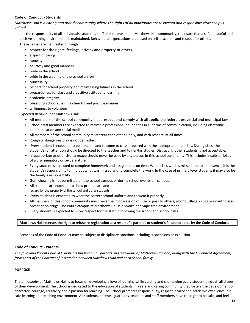### **Code of Conduct - Students**

*Matthews Hall is a caring and orderly community where the rights of all individuals are respected and responsible citizenship is valued.*

It is the responsibility of all individuals, students, staff and parents in the Matthews Hall community, to ensure that a safe, peaceful and positive learning environment is maintained. Behavioural expectations are based on self-discipline and respect for others.

These values are manifested through

- respect for the rights, feelings, privacy and property of others
- a spirit of caring
- honesty
- courtesy and good manners
- pride in the school
- pride in the wearing of the school uniform
- punctuality
- respect for school property and maintaining tidiness in the school
- preparedness for class and a positive attitude to learning
- academic integrity
- observing school rules in a cheerful and positive manner
- willingness to volunteer

### Expected Behaviour at Matthews Hall

- All members of the school community must respect and comply with all applicable federal , provincial and municipal laws.
- School staff members are expected to maintain professional boundaries in all forms of communication, including electronic communication and social media.
- All members of the school community must treat each other kindly, and with respect, at all times.
- Rough or dangerous play is not permitted.
- Every student is expected to be punctual and to come to class prepared with the appropriate materials. During class, the student's full attention should be directed to the teacher and to her/his studies. Distracting other students is not acceptable.
- Inappropriate or offensive language should never be used by any person in this school community. This includes insults or jokes of a discriminatory or sexual nature.
- Every student is expected to complete homework and assignments on time. When class work is missed due to an absence, it is the student's responsibility to find out what was missed and to complete the work. In the case of primary level students it may also be the family's responsibility.
- Gum chewing is not permitted on the school campus or during school events off-campus.
- All students are expected to show proper care and regard for the property of the school and other students.
- Every student is expected to wear the correct school uniform and to wear it properly.
- All members of this school community must never be in possession of, use or pass to others, alcohol, illegal drugs or unauthorized prescription drugs. The entire campus at Matthews Hall is a smoke and vape-free environment.
- Every student is expected to show respect for the staff in following classroom and school rules.

### **Matthews Hall reserves the right to refuse re-registration as a result of a parent's or student's failure to abide by the Code of Conduct.**

Breaches of the Code of Conduct may be subject to disciplinary sanctions including suspensions or expulsion.

### **Code of Conduct - Parents**

*The following Parent Code of Conduct is binding on all parents and guardians of Matthews Hall and, along with the Enrolment Agreement, forms part of the Contract of Instruction between Matthews Hall and each School family.*

### **PURPOSE**

The philosophy of Matthews Hall is to focus on developing a love of learning while guiding and challenging every student through all stages of their development. The School is dedicated to the education of students in a safe and caring community that fosters the development of character, courage, creativity and a passion for learning. The School promotes responsibility, respect, civility and academic excellence in a safe learning and teaching environment. All students, parents, guardians, teachers and staff members have the right to be safe, and feel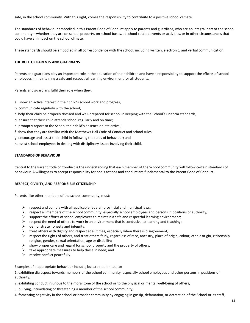safe, in the school community. With this right, comes the responsibility to contribute to a positive school climate.

The standards of behaviour embodied in this Parent Code of Conduct apply to parents and guardians, who are an integral part of the school community—whether they are on school property, on school buses, at school-related events or activities, or in other circumstances that could have an impact on the school climate.

These standards should be embodied in all correspondence with the school, including written, electronic, and verbal communication.

### **THE ROLE OF PARENTS AND GUARDIANS**

Parents and guardians play an important role in the education of their children and have a responsibility to support the efforts of school employees in maintaining a safe and respectful learning environment for all students.

Parents and guardians fulfil their role when they:

- a. show an active interest in their child's school work and progress;
- b. communicate regularly with the school;
- c. help their child be properly dressed and well-prepared for school in keeping with the School's uniform standards;
- d. ensure that their child attends school regularly and on time;
- e. promptly report to the School their child's absence or late arrival;
- f. show that they are familiar with the Matthews Hall Code of Conduct and school rules;
- g. encourage and assist their child in following the rules of behaviour; and
- h. assist school employees in dealing with disciplinary issues involving their child.

### **STANDARDS OF BEHAVIOUR**

Central to the Parent Code of Conduct is the understanding that each member of the School community will follow certain standards of behaviour. A willingness to accept responsibility for one's actions and conduct are fundamental to the Parent Code of Conduct.

### **RESPECT, CIVILITY, AND RESPONSIBLE CITIZENSHIP**

Parents, like other members of the school community, must:

- $\triangleright$  respect and comply with all applicable federal, provincial and municipal laws;
- $\triangleright$  respect all members of the school community, especially school employees and persons in positions of authority;
- $\triangleright$  support the efforts of school employees to maintain a safe and respectful learning environment;
- $\triangleright$  respect the need of others to work in an environment that is conducive to learning and teaching;
- $\triangleright$  demonstrate honesty and integrity;
- $\triangleright$  treat others with dignity and respect at all times, especially when there is disagreement;
- $\triangleright$  respect the rights of others, and treat others fairly, regardless of race, ancestry, place of origin, colour, ethnic origin, citizenship, religion, gender, sexual orientation, age or disability;
- $\triangleright$  show proper care and regard for school property and the property of others;
- $\triangleright$  take appropriate measures to help those in need; and
- $\triangleright$  resolve conflict peacefully.

Examples of inappropriate behaviour include, but are not limited to:

1. exhibiting disrespect towards members of the school community, especially school employees and other persons in positions of authority;

- 2. exhibiting conduct injurious to the moral tone of the school or to the physical or mental well-being of others;
- 3. bullying, intimidating or threatening a member of the school community;
- 4. fomenting negativity in the school or broader community by engaging in gossip, defamation, or detraction of the School or its staff,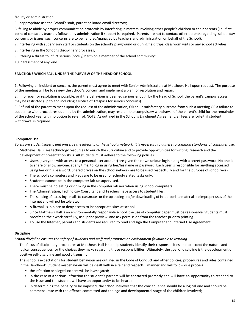faculty or administration;

5. inappropriate use the School's staff, parent or Board email directory;

6. failing to abide by proper communication protocols by interfering in matters involving other people's children or their parents (i.e., first point of contact is teacher, followed by administration if support is required. Parents are not to contact other parents regarding school day concerns or issues; such concerns are to be handled/managed by teachers and administration on behalf of the School).

7. interfering with supervisory staff or students on the school's playground or during field trips, classroom visits or any school activities;

8. interfering in the School's disciplinary processes;

9. uttering a threat to inflict serious (bodily) harm on a member of the school community;

10. harassment of any kind.

### **SANCTIONS WHICH FALL UNDER THE PURVIEW OF THE HEAD OF SCHOOL**

1. Following an incident or concern, the parent must agree to meet with Senior Administrators at Matthews Hall upon request. The purpose of the meeting will be to review the School's concern and implement a plan for resolution and repair.

2. If no repair or resolution is possible, or if the behaviour is deemed serious enough by the Head of School, the parent's campus access may be restricted (up to and including a Notice of Trespass for serious concerns).

3. Refusal of the parent to meet upon the request of the administration, OR an unsatisfactory outcome from such a meeting OR a failure to cooperate with procedures outlined by the administration, may result in the compulsory withdrawal of the parent's child for the remainder of the school year with no option to re-enrol. NOTE: As outlined in the School's Enrolment Agreement, all fees are forfeit, if student withdrawal is required.

### **Computer Use**

To ensure student safety, and preserve the integrity of the school's network, it is necessary to adhere to common standards of computer use.

Matthews Hall uses technology resources to enrich the curriculum and to provide opportunities for writing, research and the development of presentation skills. All students must adhere to the following policies:

- Users (everyone with access to a personal user account) are given their own unique login along with a secret password. No one is to share or allow anyone, at any time, to log in using her/his name or password. Each user is responsible for anything accessed using her or his password. Shared drives on the school network are to be used respectfully and for the purpose of school work
- The school's computers and iPads are to be used for school-related tasks only.
- Students cannot be in the computer lab unsupervised.
- There must be no eating or drinking in the computer lab nor when using school computers.
- The Administration, Technology Consultant and Teachers have access to student files.
- The sending of harassing emails to classmates or the uploading and/or downloading of inappropriate material are improper uses of the Internet and will not be tolerated.
- A firewall is in place to deny access to inappropriate sites at school.
- Since Matthews Hall is an environmentally responsible school, the use of computer paper must be reasonable. Students must proofread their work carefully, use 'print preview' and ask permission from the teacher prior to printing.
- To use the Internet, parents and students are required to read and sign the Computer and Internet Use Agreement.

### **Discipline**

*School discipline ensures the safety of students and staff and promotes an environment favourable to learning.*

The focus of disciplinary procedures at Matthews Hall is to help students identify their responsibilities and to accept the natural and logical consequences for the choices they make regarding those responsibilities. Ultimately, the goal of discipline is the development of positive self-discipline and good citizenship.

The school's expectations for student behaviour are outlined in the Code of Conduct and other policies, procedures and rules contained in the Handbook. Student misbehaviour will be dealt with in a fair and respectful manner and will follow due process:

- the infraction or alleged incident will be investigated;
- in the case of a serious infraction the student's parents will be contacted promptly and will have an opportunity to respond to the issue and the student will have an opportunity to be heard;
- in determining the penalty to be imposed, the school believes that the consequence should be a logical one and should be commensurate with the offence committed and the age and developmental stage of the children involved;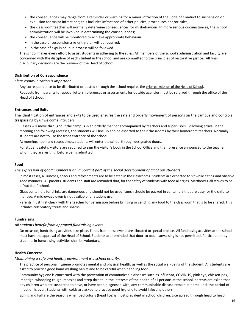- the consequences may range from a reminder or warning for a minor infraction of the Code of Conduct to suspension or expulsion for major infractions; this includes infractions of other policies, procedures and/or rules;
- the classroom teacher will normally determine consequences for misbehaviour. In more serious circumstances, the school administration will be involved in determining the consequences;
- the consequence will be monitored to achieve appropriate behaviour;
- in the case of suspension a re-entry plan will be required;
- in the case of expulsion, due process will be followed.

The school makes every effort to assist students in adhering to the rules. All members of the school's administration and faculty are concerned with the discipline of each student in the school and are committed to the principles of restorative justice. All final disciplinary decisions are the purview of the Head of School.

### **Distribution of Correspondence**

### *Clear communication is important*.

Any correspondence to be distributed or posted through the school requires the prior permission of the Head of School.

Requests from parents for special letters, references or assessments for outside agencies must be referred through the office of the Head of School.

### **Entrances and Exits**

The identification of entrances and exits to be used ensures the safe and orderly movement of persons on the campus and controls trespassing by unwelcome intruders.

Classes will move throughout the campus in an orderly manner accompanied by teachers and supervisors. Following arrival in the morning and following recesses, the students will line up and be escorted to their classrooms by their homeroom teachers. Normally students are not to use the front entrance of the school.

At morning, noon and recess times, students will enter the school through designated doors.

For student safety, visitors are required to sign the visitor's book in the School Office and their presence announced to the teacher whom they are visiting, before being admitted.

### **Food**

### *The expression of good manners is an important part of the social development of all of our students.*

In most cases, all lunches, snacks and refreshments are to be eaten in the classrooms. Students are expected to sit while eating and observe good manners. All parents, students and staff are reminded that, for the safety of students with food allergies, Matthews Hall strives to be a "nut-free" school.

Glass containers for drinks are dangerous and should not be used. Lunch should be packed in containers that are easy for the child to manage. A microwave oven is not available for student use.

Parents must first check with the teacher for permission before bringing or sending any food to the classroom that is to be shared. This includes celebratory treats and snacks.

### **Fundraising**

### *All students benefit from approved fundraising events.*

On occasion, fundraising activities take place. Funds from these events are allocated to special projects. All fundraising activities at the school must have the approval of the Head of School. Students are reminded that door-to-door canvassing is not permitted. Participation by students in fundraising activities shall be voluntary.

### **Health Concerns**

### *Maintaining a safe and healthy environment is a school priority.*

The practice of personal hygiene promotes mental and physical health, as well as the social well-being of the student. All students are asked to practice good hand washing habits and to be careful when handling food.

Community hygiene is concerned with the prevention of communicable diseases such as influenza, COVID-19, pink eye, chicken-pox, impetigo, whooping cough, measles and strep throat. In the interests of the health of all persons at the school, parents are asked that any children who are suspected to have, or have been diagnosed with, any communicable disease remain at home until the period of infection is over. Students with colds are asked to practice good hygiene to avoid infecting others.

Spring and Fall are the seasons when pediculosis (head lice) is most prevalent in school children. Lice spread through head to head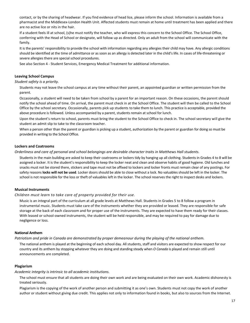contact, or by the sharing of headwear. If you find evidence of head lice, please inform the school. Information is available from a pharmacist and the Middlesex-London Health Unit. Affected students must remain at home until treatment has been applied and there are no active lice or nits in the hair.

If a student feels ill at school, (s)he must notify the teacher, who will express this concern to the School Office. The School Office, conferring with the Head of School or designate, will follow up as directed. Only an adult from the school will communicate with the family.

It is the parents' responsibility to provide the school with information regarding any allergies their child may have. Any allergic conditions should be identified at the time of admittance or as soon as an allergy is detected later in the child's life. In cases of life-threatening or severe allergies there are special school procedures.

See also Section 4 - Student Services, Emergency Medical Treatment for additional information.

### **Leaving School Campus**

### *Student safety is a priority.*

Students may not leave the school campus at any time without their parent, an appointed guardian or written permission from the parent.

Occasionally, a student will need to be taken from school by a parent for an important reason. On these occasions, the parent should notify the school ahead of time. On arrival, the parent must check in at the School Office. The student will then be called to the School Office by the school secretary. Occasionally, parents pick up students to take them to lunch. This practice is acceptable, provided the above procedure is followed. Unless accompanied by a parent, students remain at school for lunch.

Upon the student's return to school, parents must bring the student to the School Office to check in. The school secretary will give the student an admit slip to take to the classroom teacher.

When a person other than the parent or guardian is picking up a student, authorization by the parent or guardian for doing so must be provided in writing to the School Office.

### **Lockers and Coatrooms**

### *Orderliness and care of personal and school belongings are desirable character traits in Matthews Hall students.*

Students in the main building are asked to keep their coatrooms or lockers tidy by hanging up all clothing. Students in Grades 4 to 8 will be assigned a locker. It is the student's responsibility to keep the locker neat and clean and observe habits of good hygiene. Old lunches and snacks must not be stored there, stickers and tape must not be affixed to lockers and locker fronts must remain clear of any postings. For safety reasons **locks will not be used**. Locker doors should be able to close without a lock. No valuables should be left in the locker. The school is not responsible for the loss or theft of valuables left in the locker. The school reserves the right to inspect desks and lockers.

### **Musical Instruments**

### *Children must learn to take care of property provided for their use.*

Music is an integral part of the curriculum at all grade levels at Matthews Hall. Students in Grades 5 to 8 follow a program in instrumental music. Students must take care of the instruments whether they are provided or leased. They are responsible for safe storage at the back of each classroom and for proper use of the instruments. They are expected to have them ready for their classes. With leased or school-owned instruments, the student will be held responsible, and may be required to pay for damage due to negligence or loss.

#### **National Anthem**

### *Patriotism and pride in Canada are demonstrated by proper demeanour during the playing of the national anthem.*

The national anthem is played at the beginning of each school day. All students, staff and visitors are expected to show respect for our country and its anthem by stopping whatever they are doing and standing steady when *O Canada* is played and remain still until announcements are completed.

#### **Plagiarism**

#### *Academic integrity is intrinsic to all academic institutions.*

The school must ensure that all students are doing their own work and are being evaluated on their own work. Academic dishonesty is treated seriously.

Plagiarism is the copying of the work of another person and submitting it as one's own. Students must not copy the work of another author or student without giving due credit. This applies not only to information found in books, but also to sources from the Internet.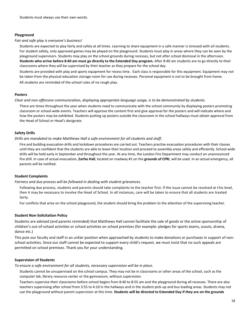### **Playground**

#### *Fair and safe play is everyone's business!*

Students are expected to play fairly and safely at all times. Learning to share equipment in a safe manner is stressed with all students. For student safety, only approved games may be played on the playground. Students must play in areas where they can be seen by the playground supervisors. Students may play on the school grounds during recesses, but not after school dismissal in the afternoon. **Students who arrive before 8:40 am must go directly to the Extended Day program.** After 8:40 am students are to go directly to their classrooms where they will be supervised by their teacher as they prepare for the school day.

Students are provided with play and sports equipment for recess time. Each class is responsible for this equipment. Equipment may not be taken from the physical education storage room for use during recesses. Personal equipment is not to be brought from home. All students are reminded of the school rules of no rough play.

### **Posters**

*Clear and non-offensive communication, displaying appropriate language usage, is to be demonstrated by students.*

There are times throughout the year when students need to communicate with the school community by displaying posters promoting classroom or school-wide events. Teachers will approve the content first and give approval for the posters and will indicate where and how the posters may be exhibited. Students putting up posters outside the classroom in the school hallways must obtain approval from the Head of School or Head's designate.

### **Safety Drills**

*Drills are mandated to make Matthews Hall a safe environment for all students and staff*.

Fire and building evacuation drills and lockdown procedures are carried out. Teachers practise evacuation procedures with their classes until they are confident that the students are able to leave their location and proceed to assembly areas safely and efficiently. School-wide drills will be held early in September and throughout the year. At any time, the London Fire Department may conduct an unannounced fire drill. In case of actual evacuation, **Zarfas Hall**, located on roadway #1 on the **grounds of CPRI**, will be used. In an actual emergency, all parents will be notified.

### **Student Complaints**

*Fairness and due process will be followed in dealing with student grievances.*

Following due process, students and parents should take complaints to the teacher first. If the issue cannot be resolved at this level, then it may be necessary to involve the Head of School. In all instances, care will be taken to ensure that all students are treated fairly.

For conflicts that arise on the school playground, the student should bring the problem to the attention of the supervising teacher.

### **Student Non-Solicitation Policy**

Students are advised (and parents reminded) that Matthews Hall cannot facilitate the sale of goods or the active sponsorship of children's out-of-school activities or school activities on school premises (for example: pledges for sports teams, scouts, drama, dance etc.)

This puts our faculty and staff in an unfair position when approached by students to make donations or purchases in support of nonschool activities. Since our staff cannot be expected to support every child's request, we must insist that no such appeals are permitted on school premises. Thank you for your understanding.

### **Supervision of Students**

*To ensure a safe environment for all students, necessary supervision will be in place.*

Students cannot be unsupervised on the school campus. They may not be in classrooms or other areas of the school, such as the computer lab, library resource center or the gymnasium, without supervision.

Teachers supervise their classrooms before school begins from 8:40 to 8:55 am and the playground during all recesses. There are also teachers supervising after school from 3:55 to 4:10 in the hallways and in the student pick-up and bus loading areas. Students may not use the playground without parent supervision at this time. **Students will be directed to Extended Day if they are on the grounds**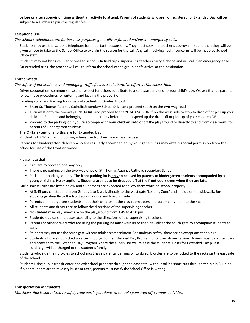**before or after supervision time without an activity to attend**. Parents of students who are not registered for Extended Day will be subject to a surcharge plus the regular fee.

### **Telephone Use**

*The school's telephones are for business purposes generally or for student/parent emergency calls.*

Students may use the school's telephone for important reasons only. They must seek the teacher's approval first and then they will be given a note to take to the School Office to explain the reason for the call. Any call involving health concerns will be made by School Office staff.

Students may not bring cellular phones to school. On field trips, supervising teachers carry a phone and will call if an emergency arises. On extended trips, the teacher will call to inform the school of the group's safe arrival at the destination.

### **Traffic Safety**

### *The safety of our students and managing traffic flow is a collaborative effort at Matthews Hall.*

Driver cooperation, common sense and respect for others contribute to a safe start and end to your child's day. We ask that all parents follow these procedures for entering and leaving the property.

'Loading Zone' and Parking for drivers of students in Grades JK to 8

- Enter St. Thomas Aquinas Catholic Secondary School Drive and proceed south on the two-way road
- Turn west onto the one-way RING ROAD and proceed to the "LOADING ZONE" on the west side to stop to drop off or pick up your children. Students and belongings should be ready beforehand to speed up the drop-off or pick-up of your children OR
- Proceed to the parking lot if you're accompanying your children onto or off the playground or directly to and from classrooms for parents of kindergarten students.

The ONLY exceptions to this are for Extended Day

students at 7:30 am and 5:30 pm, where the front entrance may be used.

Parents for Kindergarten children who are regularly accompanied by younger siblings may obtain special permission from the office for use of the front entrance.

### Please note that

- Cars are to proceed one way only.
- There is no parking on the two-way drive of St. Thomas Aquinas Catholic Secondary School.
- Park in our parking lot only. **The front parking lot is only to be used by parents of kindergarten students accompanied by a younger sibling. No exceptions. Students are not to be dropped off at the front doors even when they are late.**

Our dismissal rules are listed below and all persons are expected to follow them while on school property:

- At 3:45 pm, car students from Grades 1 to 8 walk directly to the west gate 'Loading Zone' and line up on the sidewalk. Bus students go directly to the front atrium doors and line up inside.
- Parents of kindergarten students meet their children at the classroom doors and accompany them to their cars.
- All students and drivers are to follow the directions of the supervising teacher.
- No student may play anywhere on the playground from 3:45 to 4:10 pm.
- Students load cars and buses according to the directions of the supervising teachers.
- Parents or other drivers who are using the parking lot must walk up to the sidewalk at the south gate to accompany students to cars.
- Students may not use the south gate without adult accompaniment. For students' safety, there are no exceptions to this rule.
- Students who are not picked up afterschool go to the Extended Day Program until their drivers arrive. Drivers must park their cars and proceed to the Extended Day Program where the supervisor will release the students. Costs for Extended Day plus a surcharge will be charged to the student's family.

Students who ride their bicycles to school must have parental permission to do so. Bicycles are to be locked to the racks on the east side of the school.

Students using public transit enter and exit school property through the east gate, without taking short cuts through the Main Building. If older students are to take city buses or taxis, parents must notify the School Office in writing.

### **Transportation of Students**

*Matthews Hall is committed to safely transporting students to school-sponsored off-campus activities.*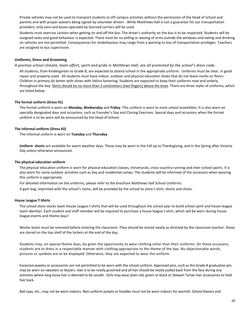Private vehicles may not be used to transport students to off-campus activities without the permission of the Head of School and parents and with proper waivers being signed by volunteer drivers . While Matthews Hall is not a guarantor for our transportation providers, only vans and buses operated by licensed carriers will be used.

Students must exercise caution when getting on and off the bus. The driver's authority on the bus is to be respected. Students will be assigned seats and good behaviour is expected. There must be no yelling or waving of arms outside the windows and eating and drinking on vehicles are not permitted. Consequences for misbehaviour may range from a warning to loss of transportation privileges. Teachers are assigned to bus supervision.

### **Uniforms, Dress and Grooming**

### *A positive school climate, team effort, spirit and pride in Matthews Hall, are all promoted by the school's dress code.*

All students, from Kindergarten to Grade 8, are expected to attend school in the appropriate uniform. Uniforms must be clear, in good repair and properly sized. All students must have indoor, outdoor and physical education shoes that do not leave marks on floors. Children in primary do better with shoes with Velcro fastening. Students are expected to keep their uniforms neat and orderly throughout the day. Skirts should be no more than 3 centimeters (two fingers) above the knee. There are three styles of uniforms, which are listed below.

### **The formal uniform (Dress #1)**

The formal uniform is worn on **Monday, Wednesday** and **Friday**. This uniform is worn to most school assemblies. It is also worn on specially designated days and occasions, such as Founder's Day and Closing Exercises. Special days and occasions when the formal uniform is to be worn will be announced by the Head of School.

### **The informal uniform (Dress #2)**

The informal uniform is worn on **Tuesday** and **Thursday**.

**Uniform shorts** are available for warm weather days. These may be worn in the Fall up to Thanksgiving, and in the Spring after Victoria Day unless otherwise announced.

### **The physical education uniform**

The physical education uniform is worn for physical education classes, intramurals, cross-country running and inter-school sports. It is also worn for some outdoor activities such as day and residential camps. The students will be informed of the occasions when wearing this uniform is appropriate.

For detailed information on the uniforms, please refer to the brochure Matthews Hall School Uniforms.

A gym bag, imprinted with the school's name, will be provided by the school to store t-shirt, shorts and shoes.

#### **House League T-Shirts**

The school store stocks team House League t-shirts that will be used throughout the school year to build school spirit and house league team identity! Each student and staff member will be required to purchase a house league t-shirt, which will be worn during house league events and theme days!

Winter boots must be removed before entering the classroom. They should be stored neatly as directed by the classroom teacher. Shoes are stored on the top shelf of the lockers at the end of the day.

Students may, on special theme days, be given the opportunity to wear clothing other than their uniforms. On these occasions, students are to dress in a respectable manner with clothing appropriate to the theme of the day. No objectionable words, pictures or symbols are to be displayed. Otherwise, they are expected to wear the uniform.

Excessive jewelry or accessories are not permitted to be worn with the school uniform. Approved pins, such as the Grade 8 graduation pin, may be worn on sweaters or blazers. Hair is to be neatly groomed and all hair should be neatly pulled back from the face during any activities where long loose hair is deemed to be unsafe. Girls may wear plain red, green or black or Stewart Tartan hair accessories to hold hair back.

Ball caps, etc., may not be worn indoors. Non-uniform jackets or hoodies must not be worn indoors for warmth. School blazers and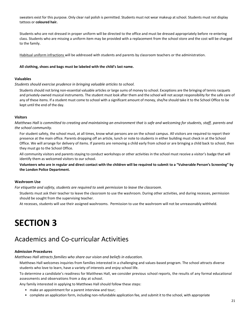sweaters exist for this purpose. Only clear nail polish is permitted. Students must not wear makeup at school. Students must not display tattoos or **coloured hair.**

Students who are not dressed in proper uniform will be directed to the office and must be dressed appropriately before re-entering class. Students who are missing a uniform item may be provided with a replacement from the school store and the cost will be charged to the family.

Habitual uniform infractions will be addressed with students and parents by classroom teachers or the administration.

### **All clothing, shoes and bags must be labeled with the child's last name.**

### **Valuables**

*Students should exercise prudence in bringing valuable articles to school.*

Students should not bring non-essential valuable articles or large sums of money to school. Exceptions are the bringing of tennis racquets and privately-owned musical instruments. The student must look after them and the school will not accept responsibility for the safe care of any of these items. If a student must come to school with a significant amount of money, she/he should take it to the School Office to be kept until the end of the day.

### **Visitors**

*Matthews Hall is committed to creating and maintaining an environment that is safe and welcoming for students, staff, parents and the school community.*

For student safety, the school must, at all times, know what persons are on the school campus. All visitors are required to report their presence at the main office. Parents dropping off an article, lunch or note to students in either building must check in at the School Office. We will arrange for delivery of items. If parents are removing a child early from school or are bringing a child back to school, then they must go to the School Office.

All community visitors and parents staying to conduct workshops or other activities in the school must receive a visitor's badge that will identify them as welcomed visitors to our school.

**Volunteers who are in regular and direct contact with the children will be required to submit to a "Vulnerable Person's Screening" by the London Police Department.**

### **Washroom Use**

*For etiquette and safety, students are required to seek permission to leave the classroom.*

Students must ask their teacher to leave the classroom to use the washroom. During other activities, and during recesses, permission should be sought from the supervising teacher.

At recesses, students will use their assigned washrooms. Permission to use the washroom will not be unreasonably withheld.

## **SECTION 3**

## Academics and Co-curricular Activities

### **Admission Procedures**

*Matthews Hall attracts families who share our vision and beliefs in education.*

Matthews Hall welcomes inquiries from families interested in a challenging and values-based program. The school attracts diverse students who love to learn, have a variety of interests and enjoy school life.

To determine a candidate's readiness for Matthews Hall, we consider previous school reports, the results of any formal educational assessments and observations from a day at school.

Any family interested in applying to Matthews Hall should follow these steps:

- make an appointment for a parent interview and tour;
- complete an application form, including non-refundable application fee, and submit it to the school, with appropriate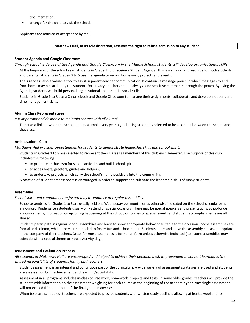documentation;

arrange for the child to visit the school.

Applicants are notified of acceptance by mail.

### **Matthews Hall, in its sole discretion, reserves the right to refuse admission to any student.**

### **Student Agenda and Google Classroom**

*Through school wide use of the Agenda and Google Classroom in the Middle School, students will develop organizational skills*.

At the beginning of the school year, students in Grade 3 to 5 receive a Student Agenda. This is an important resource for both students and parents. Students in Grades 3 to 5 use the agenda to record homework, projects and events.

The Agenda is also a valuable tool to assist in parent-teacher communication. It contains a message pouch in which messages to and from home may be carried by the student. For privacy, teachers should always send sensitive comments through the pouch. By using the Agenda, students will build personal organizational and essential social skills.

Students in Grade 6 to 8 use a Chromebook and Google Classroom to manage their assignments, collaborate and develop independent time management skills.

### **Alumni Class Representatives**

### *It is important and desirable to maintain contact with all alumni.*

To act as a link between the school and its alumni, every year a graduating student is selected to be a contact between the school and that class.

### **Ambassadors' Club**

*Matthews Hall provides opportunities for students to demonstrate leadership skills and school spirit.*

Students in Grades 1 to 8 are selected to represent their classes as members of this club each semester. The purpose of this club includes the following:

- to promote enthusiasm for school activities and build school spirit;
- to act as hosts, greeters, guides and helpers;
- to undertake projects which carry the school's name positively into the community.

A rotation of student ambassadors is encouraged in order to support and cultivate the leadership skills of many students.

### **Assemblies**

*School spirit and community are fostered by attendance at regular assemblies.*

School assemblies for Grades 1 to 8 are usually held one Wednesday per month, or as otherwise indicated on the school calendar or as announced. Kindergarten students usually only attend on special occasions. There may be special speakers and presentations. School-wide announcements, information on upcoming happenings at the school, outcomes of special events and student accomplishments are all shared.

Students participate in regular school assemblies and learn to show appropriate behavior suitable to the occasion. Some assemblies are formal and solemn, while others are intended to foster fun and school spirit. Students enter and leave the assembly hall as appropriate in the company of their teachers. Dress for most assemblies is formal uniform unless otherwise indicated (i.e., some assemblies may coincide with a special theme or House Activity day).

### **Assessment and Evaluation Process**

*All students at Matthews Hall are encouraged and helped to achieve their personal best. Improvement in student learning is the shared responsibility of students, family and teachers.*

Student assessment is an integral and continuous part of the curriculum. A wide variety of assessment strategies are used and students are assessed on both achievement and learning/social skills.

Assessment in all programs includes in-class course work, homework, projects and tests. In some older grades, teachers will provide the students with information on the assessment weighting for each course at the beginning of the academic year. Any single assessment will not exceed fifteen percent of the final grade in any class.

When tests are scheduled, teachers are expected to provide students with written study outlines, allowing at least a weekend for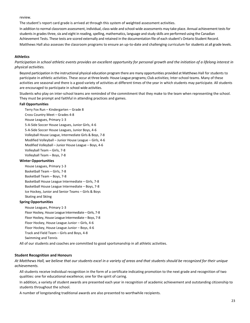review.

The student's report card grade is arrived at through this system of weighted assessment activities.

In addition to normal classroom assessment, individual, class-wide and school-wide assessments may take place. Annual achievement tests for students in grades three, six and eight in reading, spelling, mathematics, language and study skills are performed using the Canadian Achievement Tests. These tests are scored externally and retained in the documentation file of each student's Ontario Student Record. Matthews Hall also assesses the classroom programs to ensure an up-to-date and challenging curriculum for students at all grade levels.

### **Athletics**

*Participation in school athletic events provides an excellent opportunity for personal growth and the initiation of a lifelong interest in physical activities.*

Beyond participation in the instructional physical education program there are many opportunities provided at Matthews Hall for students to participate in athletic activities. These occur at three levels: House League programs; Club activities; Inter-school teams. Many of these activities are seasonal and there is a good variety of activities at different times of the year in which students may participate. All students are encouraged to participate in school wide activities.

Students who play on inter-school teams are reminded of the commitment that they make to the team when representing the school. They must be prompt and faithful in attending practices and games.

### **Fall Opportunities**

Terry Fox Run – Kindergarten – Grade 8 Cross Country Meet – Grades 4-8 House Leagues, Primary 1-3 5-A-Side Soccer House Leagues, Junior Girls, 4-6 5-A-Side Soccer House Leagues, Junior Boys, 4-6 Volleyball House League, Intermediate Girls & Boys, 7-8 Modified Volleyball – Junior House League – Girls, 4-6 Modified Volleyball – Junior House League – Boys, 4-6 Volleyball Team – Girls, 7-8 Volleyball Team – Boys, 7-8 **Winter Opportunities**

House Leagues, Primary 1-3 Basketball Team – Girls, 7-8 Basketball Team – Boys, 7-8

Basketball House League Intermediate – Girls, 7-8 Basketball House League Intermediate – Boys, 7-8 Ice Hockey, Junior and Senior Teams – Girls & Boys Skating and Skiing

### **Spring Opportunities**

House Leagues, Primary 1-3 Floor Hockey, House League Intermediate – Girls, 7-8 Floor Hockey, House League Intermediate – Boys, 7-8 Floor Hockey, House League Junior – Girls, 4-6 Floor Hockey, House League Junior – Boys, 4-6 Track and Field Team – Girls and Boys, 4-8 Swimming and Tennis

All of our students and coaches are committed to good sportsmanship in all athletic activities.

### **Student Recognition and Honours**

*At Matthews Hall, we believe that our students excel in a variety of areas and that students should be recognized for their unique achievements.*

All students receive individual recognition in the form of a certificate indicating promotion to the next grade and recognition of two qualities: one for educational excellence; one for the spirit of caring.

In addition, a variety of student awards are presented each year in recognition of academic achievement and outstanding citizenship to students throughout the school.

A number of longstanding traditional awards are also presented to worthwhile recipients.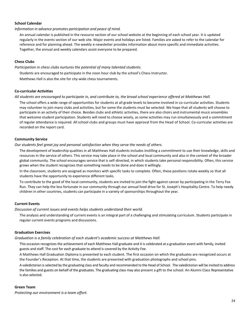### **School Calendar**

*Information in advance promotes participation and peace of mind.*

An annual calendar is published in the resource section of our school website at the beginning of each school year. It is updated regularly in the events section of our web site. Major events and holidays are listed. Families are asked to refer to the calendar for reference and for planning ahead. The weekly e-newsletter provides information about more specific and immediate activities. Together, the annual and weekly calendars assist everyone to be prepared.

### **Chess Clubs**

*Participation in chess clubs nurtures the potential of many talented students.*

Students are encouraged to participate in the noon hour club by the school's Chess Instructor.

Matthews Hall is also the site for city-wide chess tournaments.

### **Co-curricular Activities**

### *All students are encouraged to participate in, and contribute to, the broad school experience offered at Matthews Hall.*

The school offers a wide range of opportunities for students at all grade levels to become involved in co-curricular activities. Students may volunteer to join many clubs and activities, but for some the students must be selected. We hope that all students will choose to participate in an activity of their choice. Besides clubs and athletic activities, there are also choirs and instrumental music ensembles that welcome student participation. Students will need to choose wisely, as some activities may run simultaneously and a commitment of regular attendance is required. All school clubs and groups must have approval from the Head of School. Co-curricular activities are recorded on the report card.

### **Community Service**

*Our students feel great joy and personal satisfaction when they serve the needs of others.*

The development of leadership qualities in all Matthews Hall students includes instilling a commitment to use their knowledge, skills and resources in the service of others. This service may take place in the school and local community and also in the context of the broader global community. The school encourages service that is self-directed, in which students take personal responsibility. Often, this service grows when the student recognizes that something needs to be done and does it willingly.

In the classroom, students are assigned as monitors with specific tasks to complete. Often, these positions rotate weekly so that all students have the opportunity to experience different tasks.

To contribute to the good of the local community, students are invited to join the fight against cancer by participating in the Terry Fox Run. They can help the less fortunate in our community through our annual food drive for St. Joseph's Hospitality Centre. To help needy children in other countries, students can participate in a variety of sponsorships throughout the year.

### **Current Events**

*Discussion of current issues and events helps students understand their world.*

The analysis and understanding of current events is an integral part of a challenging and stimulating curriculum. Students participate in regular current events programs and discussions.

### **Graduation Exercises**

*Graduation is a family celebration of each student's academic success at Matthews Hall.*

This occasion recognizes the achievement of each Matthews Hall graduate and it is celebrated at a graduation event with family, invited guests and staff. The cost for each graduate to attend is covered by the Activity Fee.

A Matthews Hall Graduation Diploma is presented to each student. The first occasion on which the graduates are recognized occurs at the Founder's Reception. At that time, the students are presented with graduation photographs and school pins.

A valedictorian is selected by the graduating class and faculty and recommended to the Head of School. The valedictorian will be invited to address the families and guests on behalf of the graduates. The graduating class may also present a gift to the school. An Alumni Class Representative is also selected.

### **Green Team**

*Protecting our environment is a team effort.*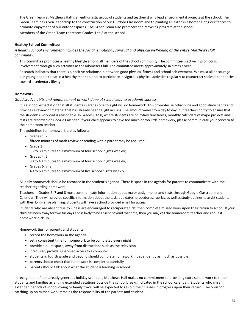The Green Team at Matthews Hall is an enthusiastic group of students and teacher(s) who lead environmental projects at the school. The Green Team has given leadership to the construction of our Outdoor Classroom and to planting an extensive border along our fences to promote enjoyment of our outdoor spaces. The Green Team also promotes the recycling program at the school . Members of the Green Team represent Grades 1 to 8 at the school.

### **Healthy School Committee**

*A healthy school environment includes the social, emotional, spiritual and physical well-being of the entire Matthews Hall community.*

This committee promotes a healthy lifestyle among all members of the school community. The committee is active in promoting involvement through such activities as the Kilometer Club. The committee meets approximately six times a year.

Research indicates that there is a positive relationship between good physical fitness and school achievement. We must all encourage our young people to eat in a healthy manner, and to participate in vigorous physical activities regularly to counteract societal tendencies toward a sedentary lifestyle.

### **Homework**

*Good study habits and reinforcement of work done at school lead to academic success.*

It is a school expectation that all students in grades one to eight will do homework. This promotes self-discipline and good study habits and provides a review of material that has already been taught in class. The amount varies from day to day, but teachers do try to ensure that the student's workload is reasonable. In Grades 6 to 8, where students are on rotary timetables, monthly calendars of major projects and tests are recorded on Google Calendar. If your child appears to have too much or too little homework, please communicate your concern to the homeroom teacher.

The guidelines for homework are as follows:

• Grades 1, 2

fifteen minutes of math review or reading with a parent may be required;

• Grade 3

15 to 30 minutes to a maximum of four school nights weekly;

- Grades 4, 5 30 to 40 minutes to a maximum of four school nights weekly;
- Grades 6, 7, 8 40 to 60 minutes to a maximum of five school nights weekly.

All daily homework should be recorded in the student's agenda. There is space in the agenda for parents to communicate with the teacher regarding homework.

Teachers in Grades 6, 7 and 8 must communicate information about major assignments and tests through Google Classroom and Calendar. They will provide specific information about the task, due dates, procedures, rubrics, as well as study outlines to assist students with their long-range planning. Students will have a school provided email for access.

Students who are absent due to illness are encouraged to recuperate first, then complete missed work upon their return to school. If your child has been away for two full days and is likely to be absent beyond that time, then you may call the homeroom teacher and request homework pick up.

Homework tips for parents and students

- record the homework in the agenda
- set a consistent time for homework to be completed every night
- provide a quiet space, away from distractions such as the television
- if required, provide supervised access to a computer
- students in fourth grade and beyond should complete homework independently as much as possible
- parents should check that homework is completed carefully
- parents should talk about what the student is learning in school

In recognition of our already generous holiday schedule, Matthews Hall makes no commitment to providing extra school work to those students and families arranging extended vacations outside the school breaks indicated in the school calendar. Students who miss extended periods of school owing to family travel will be expected to re-join their classes in progress upon their return. The onus for catching up on missed work remains the responsibility of the parents and student.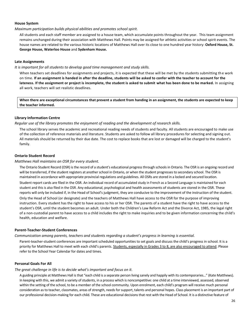### **House System**

### *Maximum participation builds physical abilities and promotes school spirit.*

All students and each staff member are assigned to a house team, which accumulate points throughout the year. This team assignment remains unchanged during their association with Matthews Hall. Points may be assigned for athletic activities or school spirit events. The house names are related to the various historic locations of Matthews Hall over its close to one hundred year history: **Oxford House, St. George House, Waterloo House** and **Sydenham House.**

### **Late Assignments**

### *It is important for all students to develop good time management and study skills.*

When teachers set deadlines for assignments and projects, it is expected that these will be met by the students submitting th e work on time. **If an assignment is handed in after the deadline, students will be asked to confer with the teacher to account for the lateness. If the assignment or project is incomplete, the student is asked to submit what has been done to be marked.** In assigning all work, teachers will set realistic deadlines.

**When there are exceptional circumstances that prevent a student from handing in an assignment, the students are expected to keep the teacher informed.**

### **Library Information Centre**

### *Regular use of the library promotes the enjoyment of reading and the development of research skills.*

The school library serves the academic and recreational reading needs of students and faculty. All students are encouraged to make use of the collection of reference materials and literature. Students are asked to follow all library procedures for selecting and signing out. All materials should be returned by their due date. The cost to replace books that are lost or damaged will be charged to the student's family.

### **Ontario Student Record**

### *Matthews Hall maintains an OSR for every student.*

The Ontario Student Record (OSR) is the record of a student's educational progress through schools in Ontario. The OSR is an ongoing record and will be transferred, if the student registers at another school in Ontario, or when the student progresses to secondary school. The OSR is maintained in accordance with appropriate provincial regulations and guidelines. All OSRs are stored in a locked and secured location.

Student report cards are filed in the OSR. An individual record of accumulated study in French as a Second Language is maintained for each student and this is also filed in the OSR. Any educational, psychological and health assessments of students are stored in the OSR. These reports will only be included if, in the Head of School's judgment, they are conducive to the improvement of the instruction of the student.

Only the Head of School (or designate) and the teachers of Matthews Hall have access to the OSR for the purpose of improving instruction. Every student has the right to have access to his or her OSR. The parents of a student have the right to have access to the student's OSR, until the student becomes an adult. Under both the Children's Law Reform Act and the Divorce Act, 1985, the legal right of a non-custodial parent to have access to a child includes the right to make inquiries and to be given information concerning the child's health, education and welfare.

### **Parent-Teacher-Student Conferences**

### *Communication among parents, teachers and students regarding a student's progress in learning is essential.*

Parent-teacher-student conferences are important scheduled opportunities to set goals and discuss the child's progress in school. It is a priority for Matthews Hall to meet with each child's parents. Students, especially in Grades 3 to 8, are also encouraged to attend. Please refer to the School Year Calendar for dates and times.

### **Personal Goals For All**

### *The great challenge in life is to decide what's important and focus on it.*

A guiding principle at Matthews Hall is that "each child is a separate person living sanely and happily with its contemporaries…" (Kate Matthews). In keeping with this, we admit a variety of students, in a process which is noncompetitive: one child at a time interviewed, assessed, observed within the setting of the school, to be a member of the school community. Upon enrolment, each child's program will receive much personal consideration as to teacher, classmates, areas of strength, needs for support, talents and personal hopes. Class placement is an important part of our professional decision-making for each child. These are educational decisions that rest with the Head of School. It is a distinctive feature of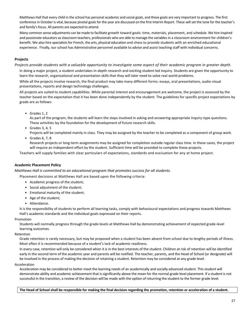Matthews Hall that every child in the school has personal academic and social goals, and these goals are very important to progress. The first conference in October is vital, because pivotal goals for the year are discussed on the first Interim Report. These will set the tone for the teacher's and family's focus. All parents are expected to attend.

Many common sense adjustments can be made to facilitate growth toward goals: time, materials, placement, and schedule. We hire inspired and passionate educators as classroom teachers, professionals who are able to manage the variables in a classroom environment for children's benefit. We also hire specialists for French, the arts, physical education and chess to provide students with an enriched educational experience. Finally, our school has Administrative personnel available to advise and assist teaching staff with individual concerns.

### **Projects**

*Projects provide students with a valuable opportunity to investigate some aspect of their academic program in greater depth.*

In doing a major project, a student undertakes in-depth research and exciting student led inquiry. Students are given the opportunity to learn the research, organizational and presentation skills that they will later need to solve real world problems.

While all the projects involve research, the final product may take many different forms: essays, oral presentations, audio-visual presentations, reports and design technology challenges.

All projects are suited to student capabilities. While parental interest and encouragement are welcome, the project is assessed by the teacher based on the expectation that it has been done independently by the student. The guidelines for specific project expectations by grade are as follows:

• Grades 1, 2

As part of the program, the students will learn the steps involved in asking and answering appropriate inquiry-type questions. These activities lay the foundation for the development of future research skills.

 $\bullet$  Grades 3, 4, 5

Projects will be completed mainly in class. They may be assigned by the teacher to be completed as a component of group work.

• Grades 6, 7, 8

Research projects or long-term assignments may be assigned for completion outside regular class time. In these cases, the project will require an independent effort by the student. Sufficient time will be provided to complete these projects.

Teachers will supply families with clear particulars of expectations, standards and eva luation for any at home project.

### **Academic Placement Policy**

*Matthews Hall is committed to an educational program that promotes success for all students.*

Placement decisions at Matthews Hall are based upon the following criteria:

- Academic progress of the student;
- Social adjustment of the student;
- Emotional maturity of the student;
- Age of the student;
- Attendance.

It is the responsibility of students to perform all learning tasks, comply with behavioural expectations and progress towards Matthews Hall's academic standards and the individual goals expressed on their reports.

### Promotion

Students will normally progress through the grade levels at Matthews Hall by demonstrating achievement of expected grade-level learning outcomes.

### Retention

Grade retention is rarely necessary, but may be proposed when a student has been absent from school due to lengthy periods of illness. Most often it is recommended because of a student's lack of academic readiness.

In every case, retention will only be considered when it is in the best interests of the student. Children at risk of retention will be identified early in the second term of the academic year and parents will be notified. The teacher, parents, and the Head of School (or designate) will be involved in the process of making the decision of retaining a student. Retention may be considered at any grade level.

### Acceleration

Acceleration may be considered to better meet the learning needs of an academically and socially advanced student. This student will demonstrate ability and academic achievement that is significantly above the mean for the normal grade level placement. If a student is not successful in the transition, a review of the decision will be made with the option of returning the student to the former grade level.

**The Head of Schoolshall be responsible for making the final decision regarding the promotion, retention or acceleration of a student.**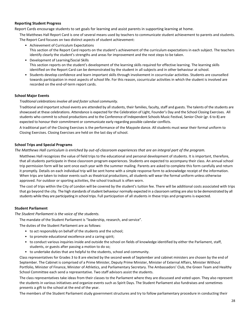### **Reporting Student Progress**

Report Cards encourage students to set goals for learning and assist parents in supporting learning at home.

The Matthews Hall Report Card is one of several means used by teachers to communicate student achievement to parents and students. The Report Card focuses on two distinct aspects of student achievement:

- Achievement of Curriculum Expectations This section of the Report Card reports on the student's achievement of the curriculum expectations in each subject. The teachers identify clearly the student's strengths and areas for improvement and the next steps to be taken.
- Development of Learning/Social Skills This section reports on the student's development of the learning skills required for effective learning. The learning skills identified on the Report Card can be demonstrated by the student in all subjects and in other behaviour at school.
- Students develop confidence and learn important skills through involvement in cocurricular activities. Students are counselled towards participation in most aspects of school life. For this reason, cocurricular activities in which the student is involved are recorded on the end-of-term report cards.

### **School Major Events**

### *Traditional celebrations involve all and foster school community.*

Traditional and important school events are attended by all students, their families, faculty, staff and guests. The talents of the students are showcased at these celebrations. Attendance is expected for the Celebration of Light, Founder's Day and the School Closing Exercises. All students who commit to school productions and to the Conference of Independent Schools Music Festival, Senior Choir (gr. 6 to 8) are expected to honour their commitment or communicate early regarding possible calendar conflicts.

A traditional part of the Closing Exercises is the performance of the Maypole dance. All students must wear their formal uniform to Closing Exercises. Closing Exercises are held on the last day of school.

### **School Trips and Special Programs**

### *The Matthews Hall curriculum is enriched by out-of-classroom experiences that are an integral part of the program.*

Matthews Hall recognizes the value of field trips to the educational and personal development of students. It is important, therefore, that all students participate in these classroom program experiences. Students are expected to accompany their class. An annual school trip permission form will be sent once each year with the summer mailing. Parents are asked to complete this form carefully and return it promptly. Details on each individual trip will be sent home with a simple response form to acknowledge receipt of the information. When trips are taken to indoor events such as theatrical productions, all students will wear the formal uniform unless otherwise approved. For outdoor or sporting activities, the school tracksuit is often worn.

The cost of trips within the City of London will be covered by the student's tuition fee. There will be additional costs associated with trips that go beyond the city. The high standards of student behaviour normally expected in a classroom setting are also to be demonstrated by all students while they are participating in school trips. Full participation of all students in these trips and programs is expected.

### **Student Parliament**

*The Student Parliament is the voice of the students.*

The mandate of the Student Parliament is "leadership, research, and service".

The duties of the Student Parliament are as follows:

- to act responsibly on behalf of the students and the school;
- to promote educational excellence and a caring spirit;
- to conduct various inquiries inside and outside the school on fields of knowledge identified by either the Parliament, staff, students, or guests after passing a motion to do so;
- to undertake duties that are helpful to the students, school and community.

Class representatives for Grades 3 to 8 are elected by the second week of September and cabinet ministers are chosen by the end of September. The Cabinet is comprised of a Prime Minister, Deputy Prime Minister, Minister of External Affairs, Minister Without Portfolio, Minister of Finance, Minister of Athletics, and Parliamentary Secretary. The Ambassadors' Club, the Green Team and Healthy School Committee each send a representative. Two staff advisors assist the students.

The class representatives take ideas from their classes to the Parliament where they are discussed and voted upon. They also represent the students in various initiatives and organize events such as Spirit Days. The Student Parliament also fundraises and sometimes presents a gift to the school at the end of the year.

The members of the Student Parliament study government structures and try to follow parliamentary procedure in conducting their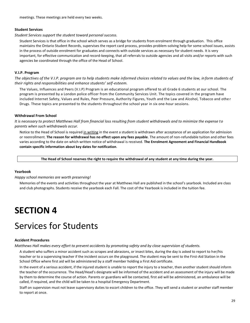meetings. These meetings are held every two weeks.

### **Student Services**

*Student Services support the student toward personal success.*

Student Services is that office in the school which serves as a bridge for students from enrolment through graduation. This office maintains the Ontario Student Records, supervises the report card process, provides problem-solving help for some school issues, assists in the process of outside enrolment for graduates and connects with outside services as necessary for student needs. It is very important, for effective communication and record-keeping, that all referrals to outside agencies and all visits and/or reports with such agencies be coordinated through the office of the Head of School.

### **V.I.P. Program**

*The objectives of the V.I.P. program are to help students make informed choices related to values and the law, in form students of their rights and responsibilities and enhance students' self-esteem.*

The Values, Influences and Peers (V.I.P) Program is an educational program offered to all Grade 6 students at our school. The program is presented by a London police officer from the Community Services Unit. The topics covered in the program have included Internet Safety, Values and Rules, Peer Pressure, Authority Figures, Youth and the Law and Alcohol, Tobacco and othe r Drugs. These topics are presented to the students throughout the school year in six one-hour sessions.

### **Withdrawal From School**

*It is necessary to protect Matthews Hall from financial loss resulting from student withdrawals and to minimize the expense to parents when such withdrawals occur.*

Notice to the Head of School is required in writing in the event a student is withdrawn after acceptance of an application for admission or reenrollment. **The reason for withdrawal has no effect upon any fees payable**. The amount of non-refundable tuition and other fees varies according to the date on which written notice of withdrawal is received. **The Enrolment Agreement and Financial Handbook contain specific information about key dates for notification**.

**The Head of School reserves the right to require the withdrawal of any student at any time during the year.**

### **Yearbook**

### *Happy school memories are worth preserving!*

Memories of the events and activities throughout the year at Matthews Hall are published in the school's yearbook. Included are class and club photographs. Students receive the yearbook each Fall. The cost of the Yearbook is included in the tuition fee.

## **SECTION 4**

## Services for Students

### **Accident Procedures**

*Matthews Hall makes every effort to prevent accidents by promoting safety and by close supervision of students.* 

A student who suffers a minor accident such as scrapes and abrasions, or insect bites, during the day is asked to report to her/his teacher or to a supervising teacher if the incident occurs on the playground. The student may be sent to the First-Aid Station in the School Office where first aid will be administered by a staff member holding a First Aid certificate.

In the event of a serious accident, if the injured student is unable to report the injury to a teacher, then another student should inform the teacher of the occurrence. The Head/Head's designate will be informed of the accident and an assessment of the injury will be made by them to determine the course of action. Parents or guardians will be contacted, first aid will be administered, an ambulance will be called, if required, and the child will be taken to a hospital Emergency Department.

Staff on supervision must not leave supervisory duties to escort children to the office. They will send a student or another staff member to report at once.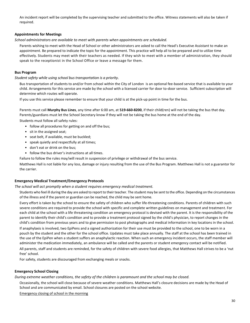An incident report will be completed by the supervising teacher and submitted to the office. Witness statements will also be taken if required.

### **Appointments for Meetings**

*School administrators are available to meet with parents when appointments are scheduled.*

Parents wishing to meet with the Head of School or other administrators are asked to call the Head's Executive Assistant to make an appointment. Be prepared to indicate the topic for the appointment. This practice will help all to be prepared and to utilize time effectively. Students may meet with their teachers as needed. If they wish to meet with a member of administration, they should speak to the receptionist in the School Office or leave a message for them.

### **Bus Program**

*Student safety while using school bus transportation is a priority*.

Bus transportation of students to and/or from school within the City of London is an optional fee-based service that is available to your child. Arrangements for this service are made by the school with a licensed carrier for door to-door service. Sufficient subscription will determine which routes will operate.

If you use this service please remember to ensure that your child is at the pick-up point in time for the bus.

Parents must call **Murphy Bus Lines**, any time after 6:00 am, at **519-660-8200**, if their child(ren) will not be taking the bus that day. Parents/guardians must let the School Secretary know if they will not be taking the bus home at the end of the day.

Students must follow all safety rules:

- follow all procedures for getting on and off the bus;
- sit in the assigned seat;
- seat belt, if available, must be buckled;
- speak quietly and respectfully at all times;
- don't eat or drink on the bus;
- follow the bus driver's instructions at all times.

Failure to follow the rules may/will result in suspension of privilege or withdrawal of the bus service.

Matthews Hall is not liable for any loss, damage or injury resulting from the use of the Bus Program. Matthews Hall is not a guarantor for the carrier.

### **Emergency Medical Treatment/Emergency Protocols**

*The school will act promptly when a student requires emergency medical treatment.*

Students who feel ill during the day are asked to report to their teacher. The student may be sent to the office. Depending on the circumstances of the illness and if the parent or guardian can be reached, the child may be sent home.

Every effort is taken by the school to ensure the safety of children who suffer life-threatening conditions. Parents of children with such severe conditions are required to provide the school with specific and complete written guidelines on management and treatment. For each child at the school with a life threatening condition an emergency protocol is devised with the parent. It is the responsibility of the parent to identify their child's condition and to provide a treatment protocol signed by the child's physician, to report changes in the child's condition from previous years and to give permission to post photographs and medical information in key locations in the school. If anaphylaxis is involved, two EpiPens and a signed authorization for their use must be provided to the school, one to be worn in a

pouch by the student and the other for the school office. Updates must take place annually. The staff at the school has been trained in the use of the EpiPen when a student suffers an anaphylactic reaction. When such an emergency incident occurs, the staff member will administer the medication immediately, an ambulance will be called and the parents or student emergency contact will be notified.

All parents, staff and students are reminded, for the safety of children with severe food allergies, that Matthews Hall strives to be a 'nut free' school.

For safety, students are discouraged from exchanging meals or snacks.

### **Emergency School Closing**

*During extreme weather conditions, the safety of the children is paramount and the school may be closed.*

Occasionally, the school will close because of severe weather conditions. Matthews Hall's closure decisions are made by the Head of School and are communicated by email. School closures are posted on the school website.

Emergency closing of school in the morning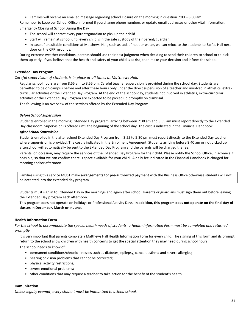• Families will receive an emailed message regarding school closure on the morning in question 7:00 – 8:00 am.

Remember to keep our School Office informed if you change phone numbers or update email addresses or other vital information. Emergency Closing of School During the Day

- - The school will contact every parent/guardian to pick up their child.
	- Staff will remain at school until every child is in the safe custody of their parent/guardian.
	- In case of unsuitable conditions at Matthews Hall, such as lack of heat or water, we can relocate the students to Zarfas Hall next door on the CPRI grounds.

During extreme weather conditions, parents should use their best judgment when deciding to send their children to school or to pick them up early. If you believe that the health and safety of your child is at risk, then make your decision and inform the school.

### **Extended Day Program**

*Careful supervision of students is in place at all times at Matthews Hall.*

Regular school hours are from 8:55 am to 3:55 pm. Careful teacher supervision is provided during the school day. Students are permitted to be on-campus before and after these hours only under the direct supervision of a teacher and involved in athletics, extracurricular activities or the Extended Day Program. At the end of the school day, students not involved in athletics, extra-curricular activities or the Extended Day Program are expected to be picked up promptly on dismissal.

The following is an overview of the services offered by the Extended Day Program.

### *Before School Supervision*

Students enrolled in the morning Extended Day program, arriving between 7:30 am and 8:55 am must report directly to the Extended Day classroom. Supervision is offered until the beginning of the school day. The cost is indicated in the Financial Handbook.

### *After School Supervision*

Students enrolled in the after school Extended Day Program from 3:55 to 5:30 pm must report directly to the Extended Day teacher where supervision is provided. The cost is indicated in the Enrolment Agreement. Students arriving before 8:40 am or not picked up afterschool will automatically be sent to the Extended Day Program and the parents will be charged the fee.

Parents, on occasion, may require the services of the Extended Day Program for their child. Please notify the School Office, in advance if possible, so that we can confirm there is space available for your child. A daily fee indicated in the Financial Handbook is charged for morning and/or afternoon.

Families using this service MUST make **arrangements for pre-authorized payment** with the Business Office otherwise students will not be accepted into the extended day program.

Students must sign in to Extended Day in the mornings and again after school. Parents or guardians must sign them out before leaving the Extended Day program each afternoon.

This program does not operate on holidays or Professional Activity Days. **In addition, this program does not operate on the final day of classes in December, March or in June.**

### **Health Information Form**

*For the school to accommodate the special health needs of students, a Health Information Form must be completed and returned promptly.*

It is very important that parents complete a Matthews Hall Health Information Form for every child. The signing of this form and its prompt return to the school allow children with health concerns to get the special attention they may need during school hours.

The school needs to know of:

- permanent conditions/chronic illnesses such as diabetes, epilepsy, cancer, asthma and severe allergies;
- hearing or vision problems that cannot be corrected;
- physical activity restrictions;
- severe emotional problems;
- other conditions that may require a teacher to take action for the benefit of the student's health.

### **Immunization**

*Unless legally exempt, every student must be immunized to attend school.*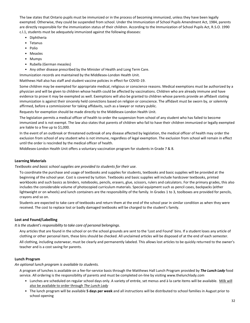The law states that Ontario pupils must be immunized or in the process of becoming immunized, unless they have been legally exempted. Otherwise, they could be suspended from school. Under the Immunization of School Pupils Amendment Act, 1984, parents are directly responsible for the immunization status of their children. According to the Immunization of School Pupils Act, R.S.O. 1990 c.l.1, students must be adequately immunized against the following diseases:

- Diphtheria
- Tetanus
- Polio
- Measles
- Mumps
- Rubella (German measles)
- Any other disease prescribed by the Minister of Health and Long Term Care.

Immunization records are maintained by the Middlesex-London Health Unit.

Matthews Hall also has staff and student vaccine policies in effect for COVID-19.

Some children may be exempted for appropriate medical, religious or conscience reasons. Medical exemptions must be authorized by a physician and will be given to children whose health could be affected by vaccinations. Children who are already immune and have evidence to prove it may be exempted as well. Exemptions will also be granted to children whose parents provide an affidavit stating immunization is against their sincerely held convictions based on religion or conscience. The affidavit must be sworn by, or solemnly affirmed, before a commissioner for taking affidavits, such as a lawyer or notary public.

Requests for exemption should be made directly to the Middlesex-London Health Unit.

The legislation permits a medical officer of health to order the suspension from school of any student who has failed to become immunized and is not exempt. The law also states that parents of children who fail to have their children immunized or legally exempted are liable to a fine up to \$1,000.

In the event of an outbreak or threatened outbreak of any disease affected by legislation, the medical officer of health may order the exclusion from school of any student who is not immune, regardless of legal exemption. The exclusion from school will remain in effect until the order is rescinded by the medical officer of health.

Middlesex-London Health Unit offers a voluntary vaccination program for students in Grade 7 & 8.

### **Learning Materials**

### *Textbooks and basic school supplies are provided to students for their use.*

To coordinate the purchase and usage of textbooks and supplies for students, textbooks and basic supplies will be provided at the beginning of the school year. Cost is covered by tuition. Textbooks and basic supplies will include hardcover textbooks, printed workbooks and such basics as binders, notebooks, pencils, erasers, glue, scissors, rulers and calculators. For the primary grades, this also includes the considerable volume of photocopied curriculum materials. Special equipment such as pencil cases, backpacks (either lightweight or on wheels) and lunch containers are the responsibility of the family. In Grades 1 to 3, toolboxes are provided for pencils, crayons and so on.

Students are expected to take care of textbooks and return them at the end of the school year in similar condition as when they were received. The cost to replace lost or badly damaged textbooks will be charged to the student's family.

### **Lost and Found/Labelling**

*It is the student's responsibility to take care of personal belongings*.

Any articles that are found in the school or on the school grounds are sent to the 'Lost and Found' bins. If a student loses any article of clothing or other personal item, these bins should be checked. All unclaimed articles will be disposed of at the end of each semester. All clothing, including outerwear, must be clearly and permanently labeled. This allows lost articles to be quickly returned to the owner's teacher and is a cost saving for parents.

### **Lunch Program**

*An optional lunch program is available to students.*

A program of lunches is available on a fee-for-service basis through the Matthews Hall Lunch Program provided by *The Lunch Lady* food service. All ordering is the responsibility of parents and must be completed on-line by visiting www.thelunchlady.com

- Lunches are scheduled on regular school days only. A variety of entrée, set menus and à la carte items will be available. Milk will also be available to order through *The Lunch Lady*
- The lunch program will be available **5 days per week** and all instructions will be distributed to school families in August prior to school opening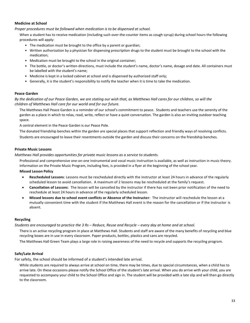### **Medicine at School**

*Proper procedures must be followed when medication is to be dispensed at school.*

When a student has to receive medication (including such over-the-counter items as cough syrup) during school hours the following procedures will apply:

- The medication must be brought to the office by a parent or guardian;
- Written authorization by a physician for dispensing prescription drugs to the student must be brought to the school with the medication;
- Medication must be brought to the school in the original container;
- The bottle, or doctor's written directions, must include the student's name, doctor's name, dosage and date. All containers must be labelled with the student's name;
- Medicine is kept in a locked cabinet at school and is dispensed by authorized staff only;
- Generally, it is the student's responsibility to notify the teacher when it is time to take the medication.

### **Peace Garden**

*By the dedication of our Peace Garden, we are stating our wish that, as Matthews Hall cares for our children, so will the children of Matthews Hall care for our world and for our future.*

The Matthews Hall Peace Garden is a reminder of our school's commitment to peace. Students and teachers use the serenity of the garden as a place in which to relax, read, write, reflect or have a quiet conversation. The garden is also an inviting outdoor teaching space.

A central element in the Peace Garden is our Peace Pole.

The donated friendship benches within the garden are special places that support reflection and friendly ways of resolving conflicts. Students are encouraged to leave their resentments outside the garden and discuss their concerns on the friendship benches.

### **Private Music Lessons**

*Matthews Hall provides opportunities for private music lessons as a service to students.*

Professional and comprehensive one-on-one instrumental and vocal music instruction is available, as well as instruction in music theory. Information on the Private Music Program, including fees, is provided in a flyer at the beginning of the school year.

**Missed Lesson Policy**

- **Rescheduled Lessons**: Lessons must be rescheduled directly with the instructor at least 24 hours in advance of the regularly scheduled lesson to avoid cancellation. A maximum of 2 lessons may be rescheduled at the family's request.
- **Cancellation of Lessons**: The lesson will be cancelled by the instructor if there has not been prior notification of the need to reschedule at least 24 hours in advance of the regularly scheduled lesson.
- **Missed lessons due to school event conflicts or Absence of the Instructor**: The instructor will reschedule the lesson at a mutually convenient time with the student if the Matthews Hall event is the reason for the cancellation or if the instructor is absent.

### **Recycling**

*Students are encouraged to practice the 3 Rs – Reduce, Reuse and Recycle – every day at home and at school.*

There is an active recycling program in place at Matthews Hall. Students and staff are aware of the many benefits of recycling and blue recycling boxes are in use in every classroom. Paper products, bottles, plastics and cans are recycled.

The Matthews Hall Green Team plays a large role in raising awareness of the need to recycle and supports the recycling program.

### **Safe/Late Arrival**

For safety, the school should be informed of a student's intended late arrival.

While students are required to always arrive at school on time, there may be times, due to special circumstances, when a child has to arrive late. On these occasions please notify the School Office of the student's late arrival. When you do arrive with your child, you are requested to accompany your child to the School Office and sign in. The student will be provided with a late slip and will then go directly to the classroom.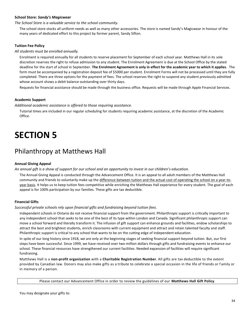### **School Store:** *Sandy's Magicwear*

*The School Store is a valuable service to the school community.*

The school store stocks all uniform needs as well as many other accessories. The store is named Sandy's Magicwear in honour of the many years of dedicated effort to this project by former parent, Sandy Sifton.

### **Tuition Fee Policy**

*All students must be enrolled annually.*

Enrolment is required annually for all students to reserve placement for September of each school year. Matthews Hall in its sole discretion reserves the right to refuse admission to any student. The Enrolment Agreement is due at the School Office by the stated deadline for the start of school in September. **The Enrolment Agreement is only in effect for the academic year to which it applies**. The form must be accompanied by a registration deposit fee of \$5000 per student. Enrolment Forms will not be processed until they are fully completed. There are three options for the payment of fees. The school reserves the right to suspend any student previously admitted whose account shows a debit balance outstanding over thirty days.

Requests for financial assistance should be made through the business office. Requests will be made through Apple Financial Services.

### **Academic Support**

*Additional academic assistance is offered to those requiring assistance*.

Tutorial times are included in our regular scheduling for students requiring academic assistance, at the discretion of the Academic Office.

## **SECTION 5**

## Philanthropy at Matthews Hall

### **Annual Giving Appeal**

*An annual gift is a show of support for our school and an opportunity to invest in our children's education.*

The Annual Giving Appeal is conducted through the Advancement Office. It is an appeal to all adult members of the Matthews Hall community and friends to voluntarily make up the difference between tuition and the actual cost of operating the school on a year-toyear basis. It helps us to keep tuition fees competitive while enriching the Matthews Hall experience for every student. The goal of each appeal is for 100% participation by our families. These gifts are tax deductible.

### **Financial Gifts**

*Successful private schools rely upon financial gifts and fundraising beyond tuition fees.*

Independent schools in Ontario do not receive financial support from the government. Philanthropic support is critically important to any independent school that seeks to be one of the best of its type within London and Canada. Significant philanthropic support can move a school forward and literally transform it. The infusion of gift support can enhance grounds and facilities, endow scholarships to attract the best and brightest students, enrich classrooms with current equipment and attract and retain talented faculty and staff. Philanthropic support is critical to any school that wants to be on the cutting edge of independent education.

In spite of our long history since 1918, we are only at the beginning stages of seeking financial support beyond tuition. But, our first steps have been successful. Since 1999, we have received over two million dollars through gifts and fundraising events to enhance our school. These financial resources have strengthened our current facilities. Needed expansion of facilities will require significant fundraising.

Matthews Hall is a **non-profit organization** with a **Charitable Registration Number**. All gifts are tax deductible to the extent provided by Canadian law. Donors may also make gifts as a tribute to celebrate a special occasion in the life of friends or f amily or in memory of a person.

Please contact our Advancement Office in order to review the guidelines of our **Matthews Hall Gift Policy**.

You may designate your gifts to: